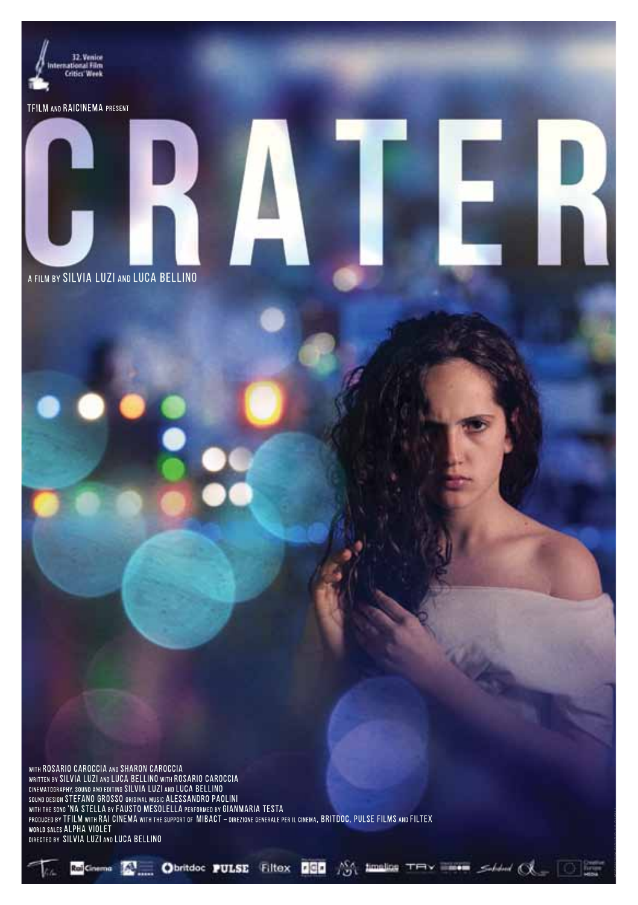

timeline

TR

**TOTAL** 

⊶ ∈¥

TFILM AND RAICINEMA PRESENT

A FILM BY SILVIA LUZI AND LUCA BELLINO

PHOTO BY GIORGIO AMENDOLA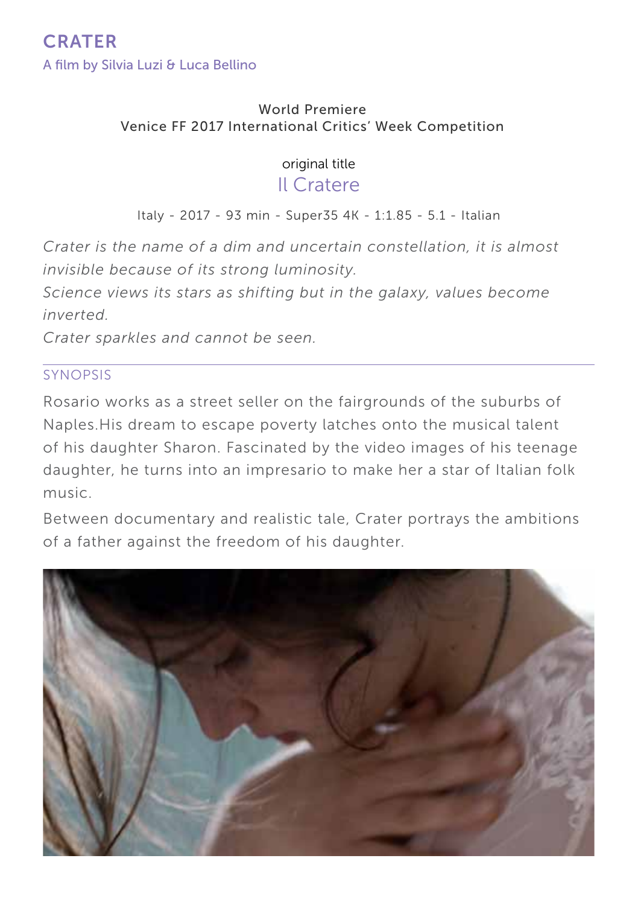#### World Premiere Venice FF 2017 International Critics' Week Competition

### original title

## Il Cratere

Italy - 2017 - 93 min - Super35 4K - 1:1.85 - 5.1 - Italian

*Crater is the name of a dim and uncertain constellation, it is almost invisible because of its strong luminosity.*

*Science views its stars as shifting but in the galaxy, values become inverted.*

*Crater sparkles and cannot be seen.*

#### SYNOPSIS

Rosario works as a street seller on the fairgrounds of the suburbs of Naples.His dream to escape poverty latches onto the musical talent of his daughter Sharon. Fascinated by the video images of his teenage daughter, he turns into an impresario to make her a star of Italian folk music.

Between documentary and realistic tale, Crater portrays the ambitions of a father against the freedom of his daughter.

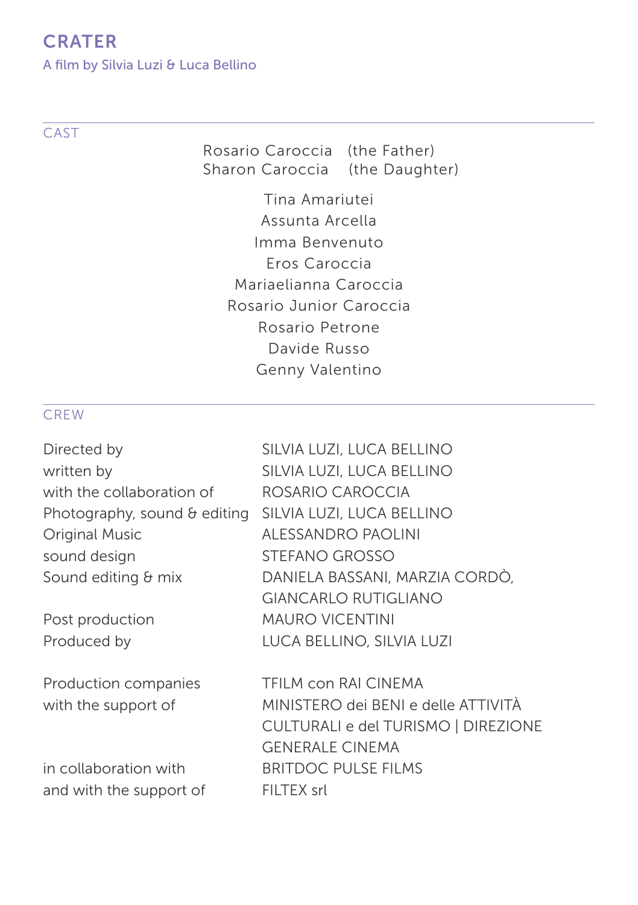A film by Silvia Luzi & Luca Bellino

#### **CAST**

Rosario Caroccia (the Father) Sharon Caroccia (the Daughter)

Tina Amariutei Assunta Arcella Imma Benvenuto Eros Caroccia Mariaelianna Caroccia Rosario Junior Caroccia Rosario Petrone Davide Russo Genny Valentino

#### **CREW**

| SILVIA LUZI, LUCA BELLINO<br>SILVIA LUZI, LUCA BELLINO |
|--------------------------------------------------------|
| ROSARIO CAROCCIA                                       |
| SILVIA LUZI, LUCA BELLINO                              |
| ALESSANDRO PAOLINI                                     |
| STEFANO GROSSO                                         |
| DANIELA BASSANI, MARZIA CORDÒ,                         |
| <b>GIANCARLO RUTIGLIANO</b>                            |
| <b>MAURO VICENTINI</b>                                 |
| LUCA BELLINO, SILVIA LUZI                              |
| TFILM con RAI CINEMA                                   |
| MINISTERO dei BENI e delle ATTIVITÀ                    |
| CULTURALI e del TURISMO   DIREZIONE                    |
| <b>GENERALE CINEMA</b>                                 |
| <b>BRITDOC PULSE FILMS</b>                             |
| FILTEX srl                                             |
|                                                        |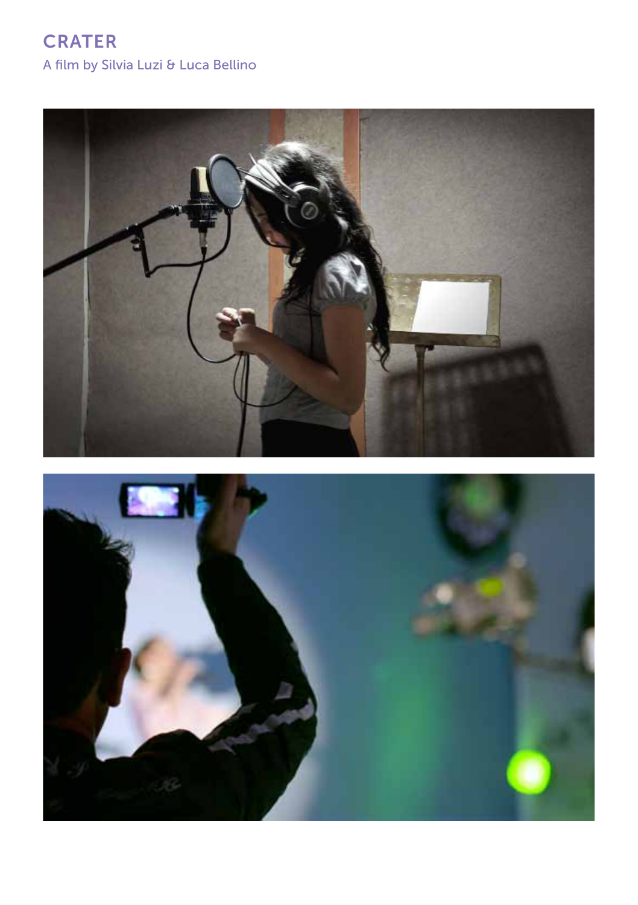

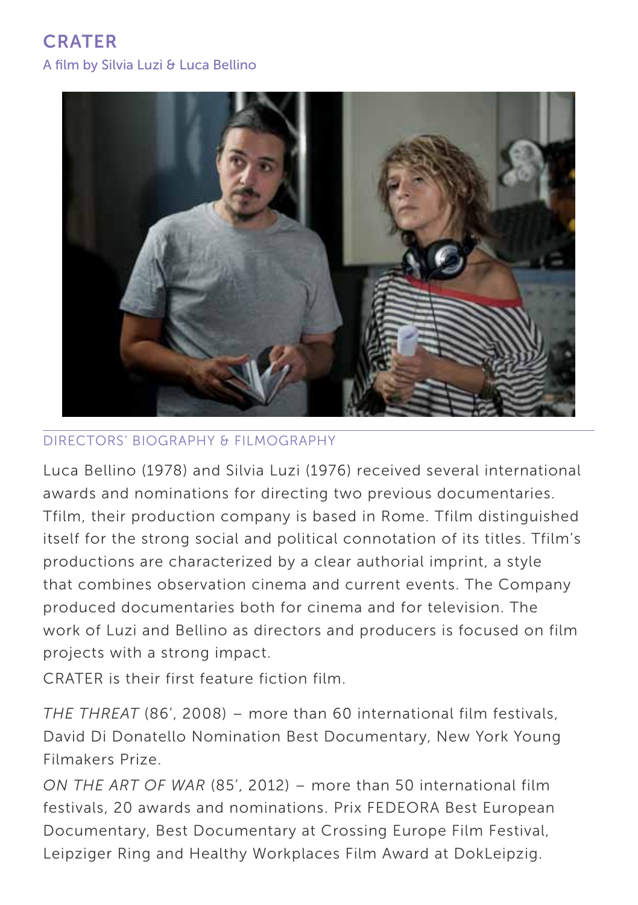**CRATER** A film by Silvia Luzi & Luca Bellino



#### Directors' BIOGRAPHY & FILMOGRAPHY

Luca Bellino (1978) and Silvia Luzi (1976) received several international awards and nominations for directing two previous documentaries. Tfilm, their production company is based in Rome. Tfilm distinguished itself for the strong social and political connotation of its titles. Tfilm's productions are characterized by a clear authorial imprint, a style that combines observation cinema and current events. The Company produced documentaries both for cinema and for television. The work of Luzi and Bellino as directors and producers is focused on film projects with a strong impact.

CRATER is their first feature fiction film.

*THE THREAT* (86', 2008) – more than 60 international film festivals, David Di Donatello Nomination Best Documentary, New York Young Filmakers Prize.

*ON THE ART OF WAR* (85', 2012) – more than 50 international film festivals, 20 awards and nominations. Prix FEDEORA Best European Documentary, Best Documentary at Crossing Europe Film Festival, Leipziger Ring and Healthy Workplaces Film Award at DokLeipzig.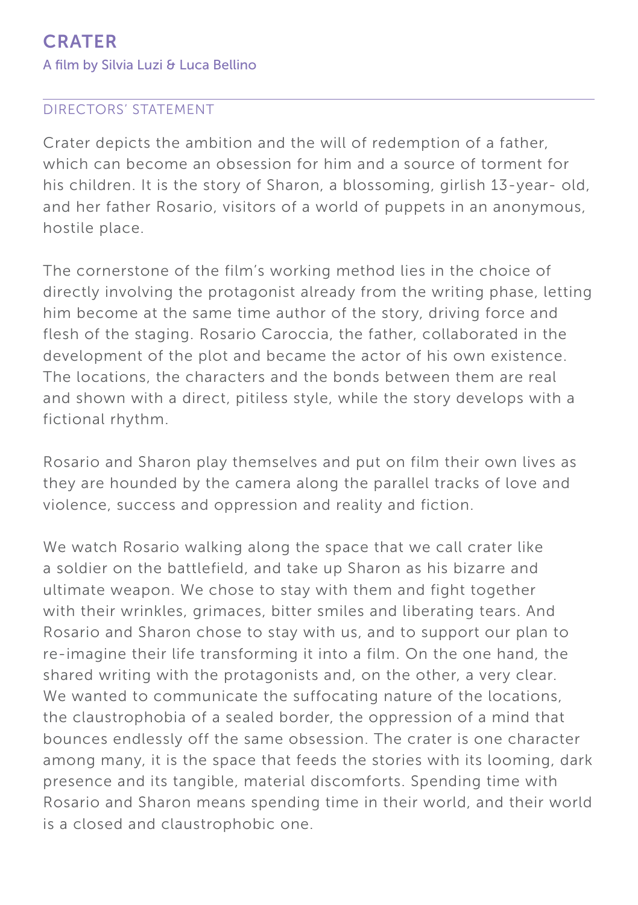#### Directors' STATEMENT

Crater depicts the ambition and the will of redemption of a father, which can become an obsession for him and a source of torment for his children. It is the story of Sharon, a blossoming, girlish 13-year- old, and her father Rosario, visitors of a world of puppets in an anonymous, hostile place.

The cornerstone of the film's working method lies in the choice of directly involving the protagonist already from the writing phase, letting him become at the same time author of the story, driving force and flesh of the staging. Rosario Caroccia, the father, collaborated in the development of the plot and became the actor of his own existence. The locations, the characters and the bonds between them are real and shown with a direct, pitiless style, while the story develops with a fictional rhythm.

Rosario and Sharon play themselves and put on film their own lives as they are hounded by the camera along the parallel tracks of love and violence, success and oppression and reality and fiction.

We watch Rosario walking along the space that we call crater like a soldier on the battlefield, and take up Sharon as his bizarre and ultimate weapon. We chose to stay with them and fight together with their wrinkles, grimaces, bitter smiles and liberating tears. And Rosario and Sharon chose to stay with us, and to support our plan to re-imagine their life transforming it into a film. On the one hand, the shared writing with the protagonists and, on the other, a very clear. We wanted to communicate the suffocating nature of the locations, the claustrophobia of a sealed border, the oppression of a mind that bounces endlessly off the same obsession. The crater is one character among many, it is the space that feeds the stories with its looming, dark presence and its tangible, material discomforts. Spending time with Rosario and Sharon means spending time in their world, and their world is a closed and claustrophobic one.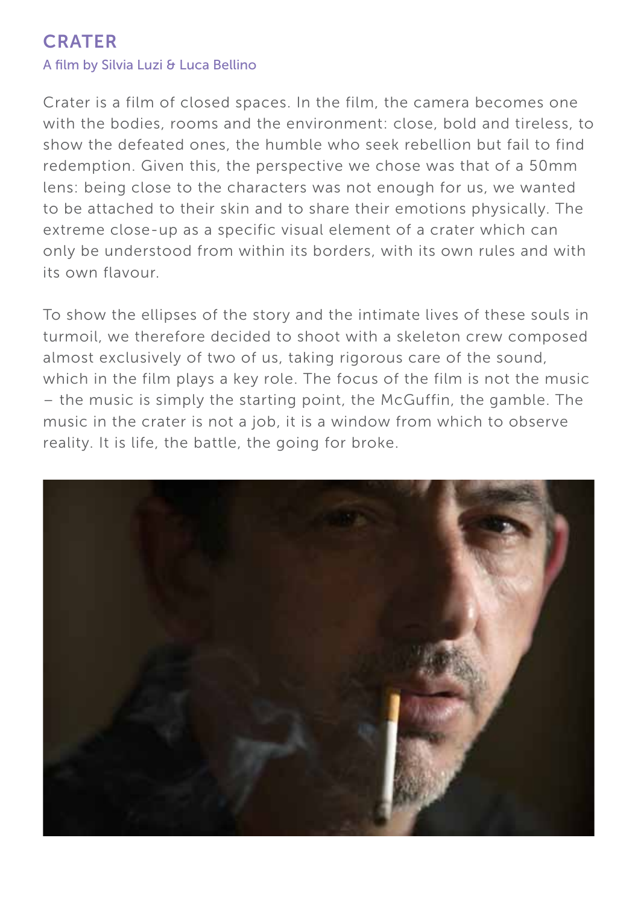#### A film by Silvia Luzi & Luca Bellino

Crater is a film of closed spaces. In the film, the camera becomes one with the bodies, rooms and the environment: close, bold and tireless, to show the defeated ones, the humble who seek rebellion but fail to find redemption. Given this, the perspective we chose was that of a 50mm lens: being close to the characters was not enough for us, we wanted to be attached to their skin and to share their emotions physically. The extreme close-up as a specific visual element of a crater which can only be understood from within its borders, with its own rules and with its own flavour.

To show the ellipses of the story and the intimate lives of these souls in turmoil, we therefore decided to shoot with a skeleton crew composed almost exclusively of two of us, taking rigorous care of the sound, which in the film plays a key role. The focus of the film is not the music – the music is simply the starting point, the McGuffin, the gamble. The music in the crater is not a job, it is a window from which to observe reality. It is life, the battle, the going for broke.

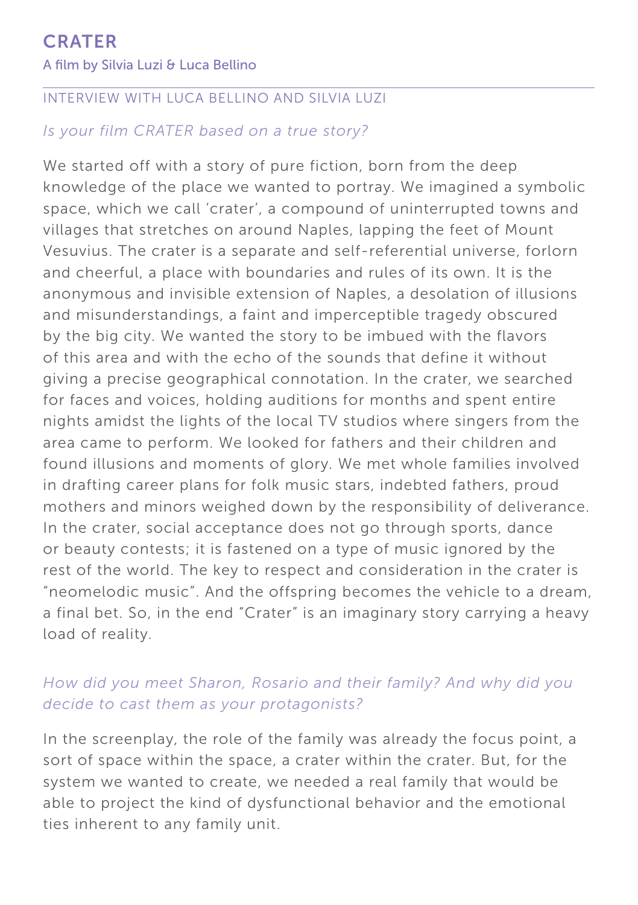#### INTERVIEW WITH LUCA BELLINO and SILVIA LUZI

### *Is your film CRATER based on a true story?*

We started off with a story of pure fiction, born from the deep knowledge of the place we wanted to portray. We imagined a symbolic space, which we call 'crater', a compound of uninterrupted towns and villages that stretches on around Naples, lapping the feet of Mount Vesuvius. The crater is a separate and self-referential universe, forlorn and cheerful, a place with boundaries and rules of its own. It is the anonymous and invisible extension of Naples, a desolation of illusions and misunderstandings, a faint and imperceptible tragedy obscured by the big city. We wanted the story to be imbued with the flavors of this area and with the echo of the sounds that define it without giving a precise geographical connotation. In the crater, we searched for faces and voices, holding auditions for months and spent entire nights amidst the lights of the local TV studios where singers from the area came to perform. We looked for fathers and their children and found illusions and moments of glory. We met whole families involved in drafting career plans for folk music stars, indebted fathers, proud mothers and minors weighed down by the responsibility of deliverance. In the crater, social acceptance does not go through sports, dance or beauty contests; it is fastened on a type of music ignored by the rest of the world. The key to respect and consideration in the crater is "neomelodic music". And the offspring becomes the vehicle to a dream, a final bet. So, in the end "Crater" is an imaginary story carrying a heavy load of reality.

## *How did you meet Sharon, Rosario and their family? And why did you decide to cast them as your protagonists?*

In the screenplay, the role of the family was already the focus point, a sort of space within the space, a crater within the crater. But, for the system we wanted to create, we needed a real family that would be able to project the kind of dysfunctional behavior and the emotional ties inherent to any family unit.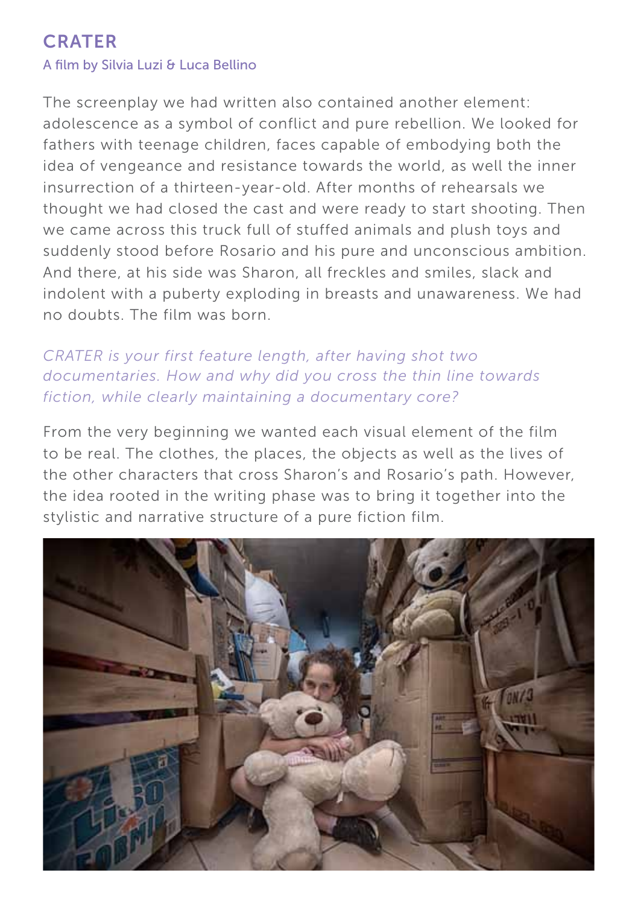The screenplay we had written also contained another element: adolescence as a symbol of conflict and pure rebellion. We looked for fathers with teenage children, faces capable of embodying both the idea of vengeance and resistance towards the world, as well the inner insurrection of a thirteen-year-old. After months of rehearsals we thought we had closed the cast and were ready to start shooting. Then we came across this truck full of stuffed animals and plush toys and suddenly stood before Rosario and his pure and unconscious ambition. And there, at his side was Sharon, all freckles and smiles, slack and indolent with a puberty exploding in breasts and unawareness. We had no doubts. The film was born.

## *CRATER is your first feature length, after having shot two documentaries. How and why did you cross the thin line towards fiction, while clearly maintaining a documentary core?*

From the very beginning we wanted each visual element of the film to be real. The clothes, the places, the objects as well as the lives of the other characters that cross Sharon's and Rosario's path. However, the idea rooted in the writing phase was to bring it together into the stylistic and narrative structure of a pure fiction film.

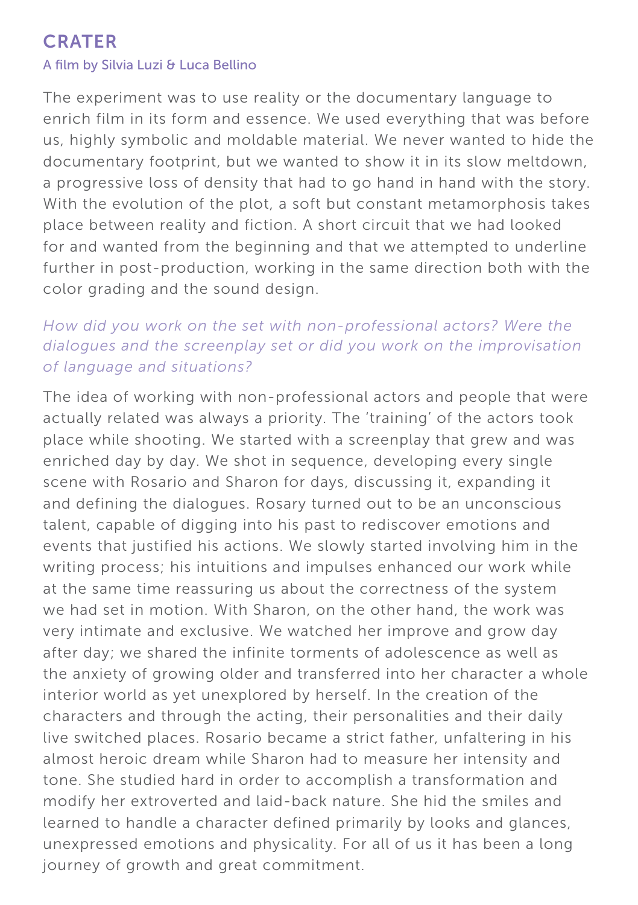#### A film by Silvia Luzi & Luca Bellino

The experiment was to use reality or the documentary language to enrich film in its form and essence. We used everything that was before us, highly symbolic and moldable material. We never wanted to hide the documentary footprint, but we wanted to show it in its slow meltdown, a progressive loss of density that had to go hand in hand with the story. With the evolution of the plot, a soft but constant metamorphosis takes place between reality and fiction. A short circuit that we had looked for and wanted from the beginning and that we attempted to underline further in post-production, working in the same direction both with the color grading and the sound design.

## *How did you work on the set with non-professional actors? Were the dialogues and the screenplay set or did you work on the improvisation of language and situations?*

The idea of working with non-professional actors and people that were actually related was always a priority. The 'training' of the actors took place while shooting. We started with a screenplay that grew and was enriched day by day. We shot in sequence, developing every single scene with Rosario and Sharon for days, discussing it, expanding it and defining the dialogues. Rosary turned out to be an unconscious talent, capable of digging into his past to rediscover emotions and events that justified his actions. We slowly started involving him in the writing process; his intuitions and impulses enhanced our work while at the same time reassuring us about the correctness of the system we had set in motion. With Sharon, on the other hand, the work was very intimate and exclusive. We watched her improve and grow day after day; we shared the infinite torments of adolescence as well as the anxiety of growing older and transferred into her character a whole interior world as yet unexplored by herself. In the creation of the characters and through the acting, their personalities and their daily live switched places. Rosario became a strict father, unfaltering in his almost heroic dream while Sharon had to measure her intensity and tone. She studied hard in order to accomplish a transformation and modify her extroverted and laid-back nature. She hid the smiles and learned to handle a character defined primarily by looks and glances, unexpressed emotions and physicality. For all of us it has been a long journey of growth and great commitment.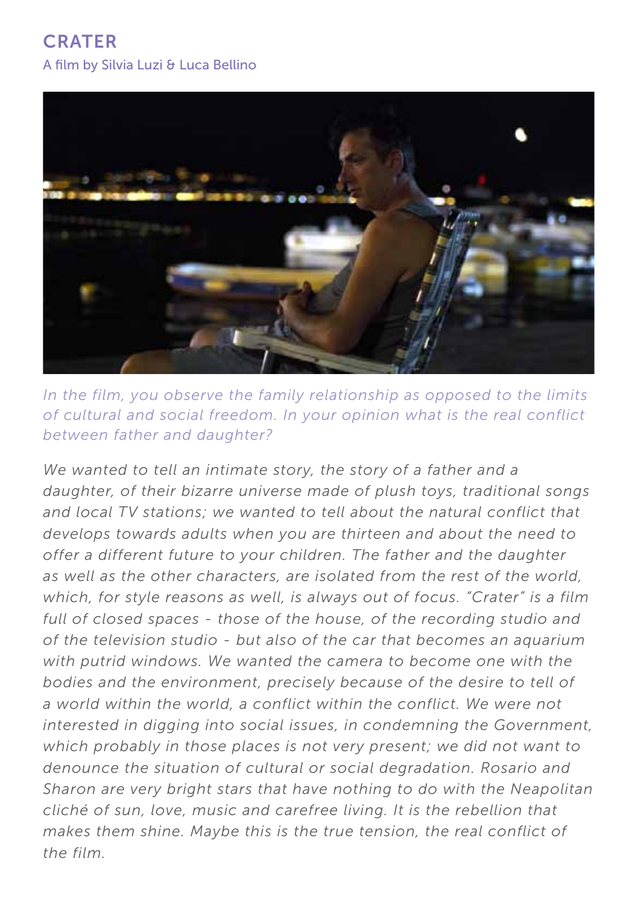

*In the film, you observe the family relationship as opposed to the limits of cultural and social freedom. In your opinion what is the real conflict between father and daughter?*

*We wanted to tell an intimate story, the story of a father and a daughter, of their bizarre universe made of plush toys, traditional songs*  and local TV stations; we wanted to tell about the natural conflict that *develops towards adults when you are thirteen and about the need to offer a different future to your children. The father and the daughter as well as the other characters, are isolated from the rest of the world, which, for style reasons as well, is always out of focus. "Crater" is a film full of closed spaces - those of the house, of the recording studio and of the television studio - but also of the car that becomes an aquarium with putrid windows. We wanted the camera to become one with the bodies and the environment, precisely because of the desire to tell of a world within the world, a conflict within the conflict. We were not interested in digging into social issues, in condemning the Government, which probably in those places is not very present; we did not want to denounce the situation of cultural or social degradation. Rosario and Sharon are very bright stars that have nothing to do with the Neapolitan cliché of sun, love, music and carefree living. It is the rebellion that makes them shine. Maybe this is the true tension, the real conflict of the film.*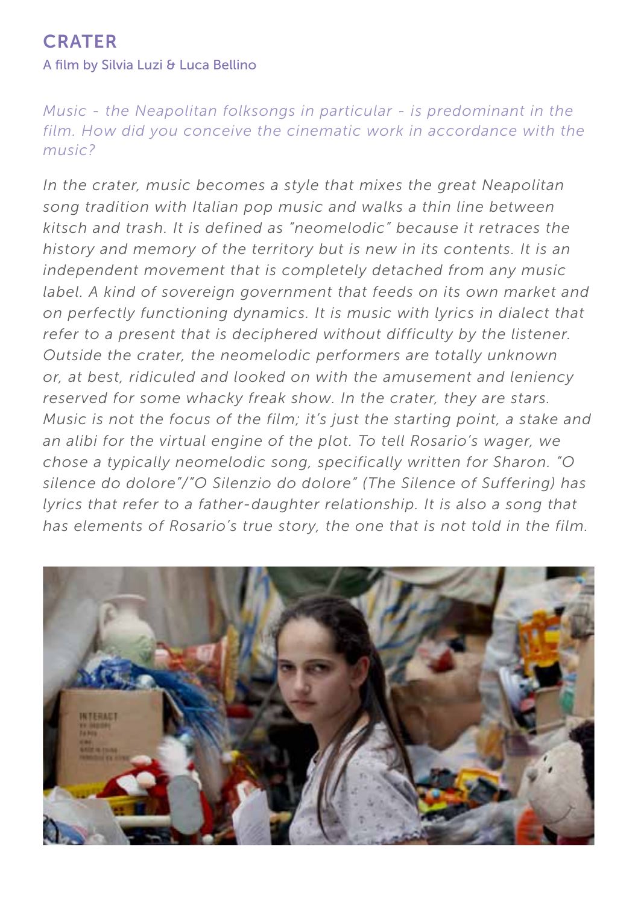#### A film by Silvia Luzi & Luca Bellino

*Music - the Neapolitan folksongs in particular - is predominant in the film. How did you conceive the cinematic work in accordance with the music?*

*In the crater, music becomes a style that mixes the great Neapolitan song tradition with Italian pop music and walks a thin line between kitsch and trash. It is defined as "neomelodic" because it retraces the history and memory of the territory but is new in its contents. It is an independent movement that is completely detached from any music label. A kind of sovereign government that feeds on its own market and on perfectly functioning dynamics. It is music with lyrics in dialect that refer to a present that is deciphered without difficulty by the listener. Outside the crater, the neomelodic performers are totally unknown or, at best, ridiculed and looked on with the amusement and leniency reserved for some whacky freak show. In the crater, they are stars. Music is not the focus of the film; it's just the starting point, a stake and an alibi for the virtual engine of the plot. To tell Rosario's wager, we chose a typically neomelodic song, specifically written for Sharon. "O silence do dolore"/"O Silenzio do dolore" (The Silence of Suffering) has lyrics that refer to a father-daughter relationship. It is also a song that has elements of Rosario's true story, the one that is not told in the film.*

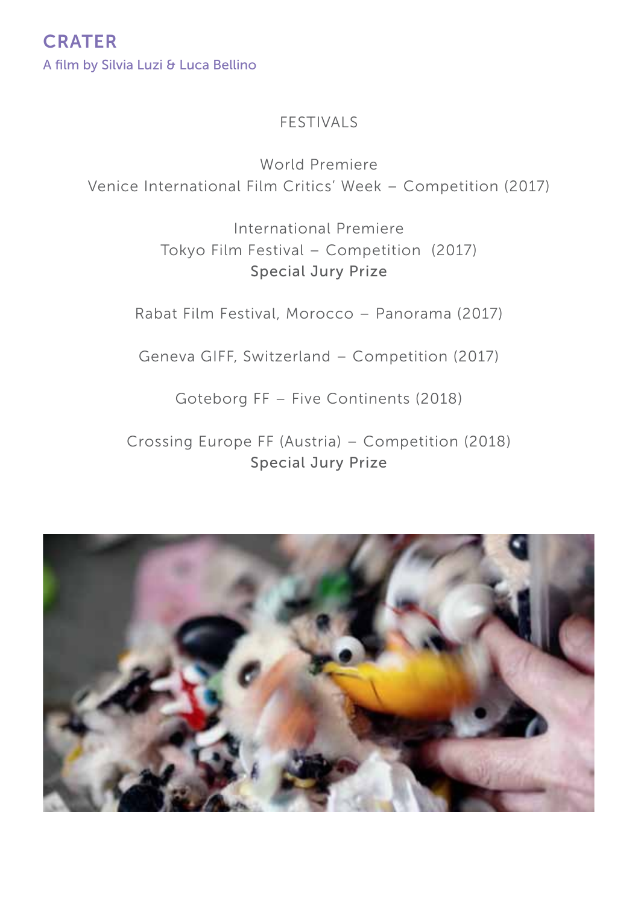### FESTIVALS

World Premiere Venice International Film Critics' Week – Competition (2017)

> International Premiere Tokyo Film Festival – Competition (2017) Special Jury Prize

Rabat Film Festival, Morocco – Panorama (2017)

Geneva GIFF, Switzerland – Competition (2017)

Goteborg FF – Five Continents (2018)

Crossing Europe FF (Austria) – Competition (2018) Special Jury Prize